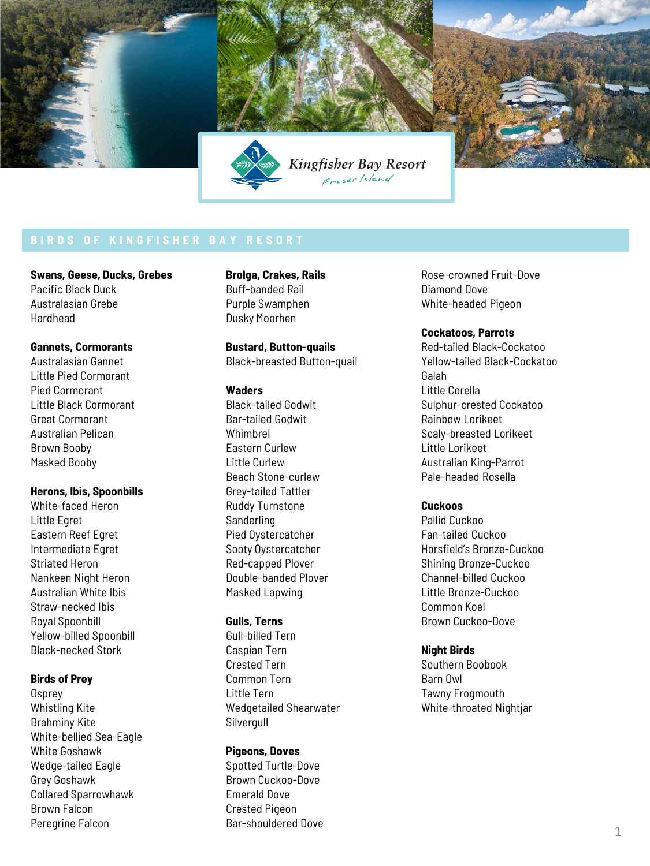

**Swans, Geese, Ducks, Grebes** Pacific Black Duck Australasian Grebe Hardhead

## **Gannets, Cormorants**

Australasian Gannet Little Pied Cormorant Pied Cormorant Little Black Cormorant Great Cormorant Australian Pelican Brown Booby Masked Booby

### **Herons, Ibis, Spoonbills**

White-faced Heron Little Egret Eastern Reef Egret Intermediate Egret Striated Heron Nankeen Night Heron Australian White Ibis Straw-necked Ibis Royal Spoonbill Yellow-billed Spoonbill Black-necked Stork

### **Birds of Prey**

**Osprey** Whistling Kite Brahminy Kite White-bellied Sea-Eagle White Goshawk Wedge-tailed Eagle Grey Goshawk Collared Sparrowhawk Brown Falcon Peregrine Falcon

**Brolga, Crakes, Rails** Buff-banded Rail Purple Swamphen Dusky Moorhen

**Bustard, Button-quails** Black-breasted Button-quail

# **Waders**

Black-tailed Godwit Bar-tailed Godwit Whimbrel Eastern Curlew Little Curlew Beach Stone-curlew Grey-tailed Tattler Ruddy Turnstone **Sanderling** Pied Oystercatcher Sooty Oystercatcher Red-capped Plover Double-banded Plover Masked Lapwing

# **Gulls, Terns**

Gull-billed Tern Caspian Tern Crested Tern Common Tern Little Tern Wedgetailed Shearwater Silvergull

## **Pigeons, Doves**

Spotted Turtle-Dove Brown Cuckoo-Dove Emerald Dove Crested Pigeon Bar-shouldered Dove Rose-crowned Fruit-Dove Diamond Dove White-headed Pigeon

## **Cockatoos, Parrots**

Red-tailed Black-Cockatoo Yellow-tailed Black-Cockatoo Galah Little Corella Sulphur-crested Cockatoo Rainbow Lorikeet Scaly-breasted Lorikeet Little Lorikeet Australian King-Parrot Pale-headed Rosella

## **Cuckoos**

Pallid Cuckoo Fan-tailed Cuckoo Horsfield's Bronze-Cuckoo Shining Bronze-Cuckoo Channel-billed Cuckoo Little Bronze-Cuckoo Common Koel Brown Cuckoo-Dove

#### **Night Birds**

Southern Boobook Barn Owl Tawny Frogmouth White-throated Nightjar